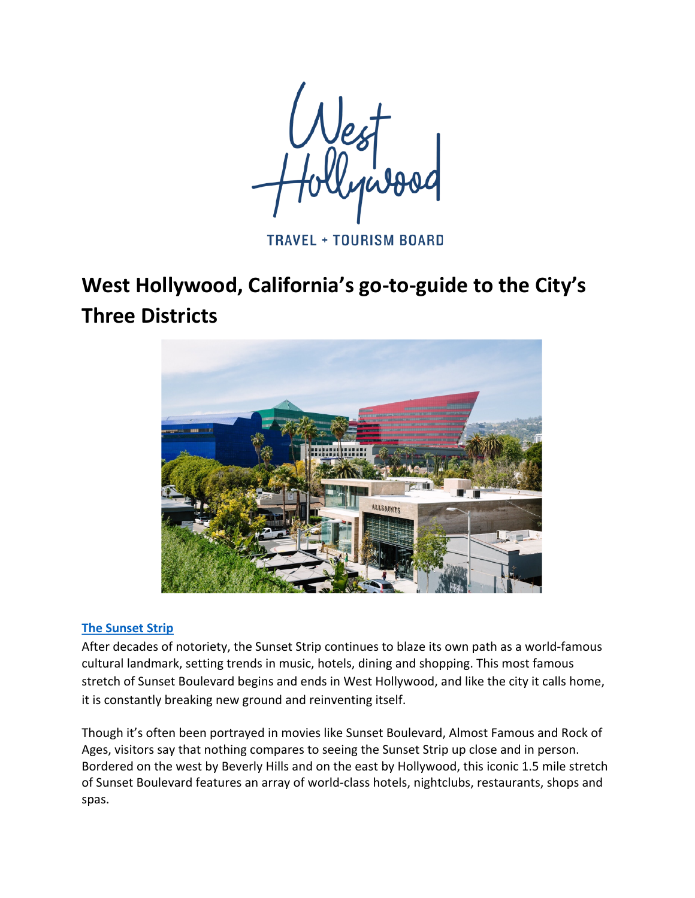**TRAVEL + TOURISM BOARD** 

# West Hollywood, California's go-to-guide to the City's **Three Districts**



## **The Sunset Strip**

After decades of notoriety, the Sunset Strip continues to blaze its own path as a world-famous cultural landmark, setting trends in music, hotels, dining and shopping. This most famous stretch of Sunset Boulevard begins and ends in West Hollywood, and like the city it calls home, it is constantly breaking new ground and reinventing itself.

Though it's often been portrayed in movies like Sunset Boulevard, Almost Famous and Rock of Ages, visitors say that nothing compares to seeing the Sunset Strip up close and in person. Bordered on the west by Beverly Hills and on the east by Hollywood, this iconic 1.5 mile stretch of Sunset Boulevard features an array of world-class hotels, nightclubs, restaurants, shops and spas.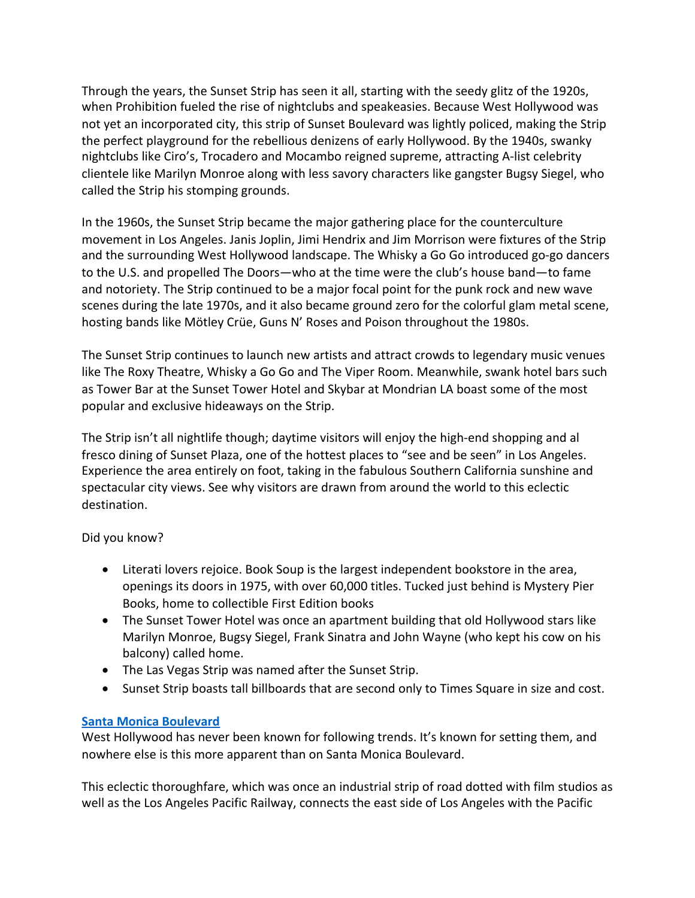Through the years, the Sunset Strip has seen it all, starting with the seedy glitz of the 1920s, when Prohibition fueled the rise of nightclubs and speakeasies. Because West Hollywood was not yet an incorporated city, this strip of Sunset Boulevard was lightly policed, making the Strip the perfect playground for the rebellious denizens of early Hollywood. By the 1940s, swanky nightclubs like Ciro's, Trocadero and Mocambo reigned supreme, attracting A-list celebrity clientele like Marilyn Monroe along with less savory characters like gangster Bugsy Siegel, who called the Strip his stomping grounds.

In the 1960s, the Sunset Strip became the major gathering place for the counterculture movement in Los Angeles. Janis Joplin, Jimi Hendrix and Jim Morrison were fixtures of the Strip and the surrounding West Hollywood landscape. The Whisky a Go Go introduced go-go dancers to the U.S. and propelled The Doors—who at the time were the club's house band—to fame and notoriety. The Strip continued to be a major focal point for the punk rock and new wave scenes during the late 1970s, and it also became ground zero for the colorful glam metal scene, hosting bands like Mötley Crüe, Guns N' Roses and Poison throughout the 1980s.

The Sunset Strip continues to launch new artists and attract crowds to legendary music venues like The Roxy Theatre, Whisky a Go Go and The Viper Room. Meanwhile, swank hotel bars such as Tower Bar at the Sunset Tower Hotel and Skybar at Mondrian LA boast some of the most popular and exclusive hideaways on the Strip.

The Strip isn't all nightlife though; daytime visitors will enjoy the high-end shopping and al fresco dining of Sunset Plaza, one of the hottest places to "see and be seen" in Los Angeles. Experience the area entirely on foot, taking in the fabulous Southern California sunshine and spectacular city views. See why visitors are drawn from around the world to this eclectic destination.

Did you know?

- Literati lovers rejoice. Book Soup is the largest independent bookstore in the area, openings its doors in 1975, with over 60,000 titles. Tucked just behind is Mystery Pier Books, home to collectible First Edition books
- The Sunset Tower Hotel was once an apartment building that old Hollywood stars like Marilyn Monroe, Bugsy Siegel, Frank Sinatra and John Wayne (who kept his cow on his balcony) called home.
- The Las Vegas Strip was named after the Sunset Strip.
- Sunset Strip boasts tall billboards that are second only to Times Square in size and cost.

## **Santa Monica Boulevard**

West Hollywood has never been known for following trends. It's known for setting them, and nowhere else is this more apparent than on Santa Monica Boulevard.

This eclectic thoroughfare, which was once an industrial strip of road dotted with film studios as well as the Los Angeles Pacific Railway, connects the east side of Los Angeles with the Pacific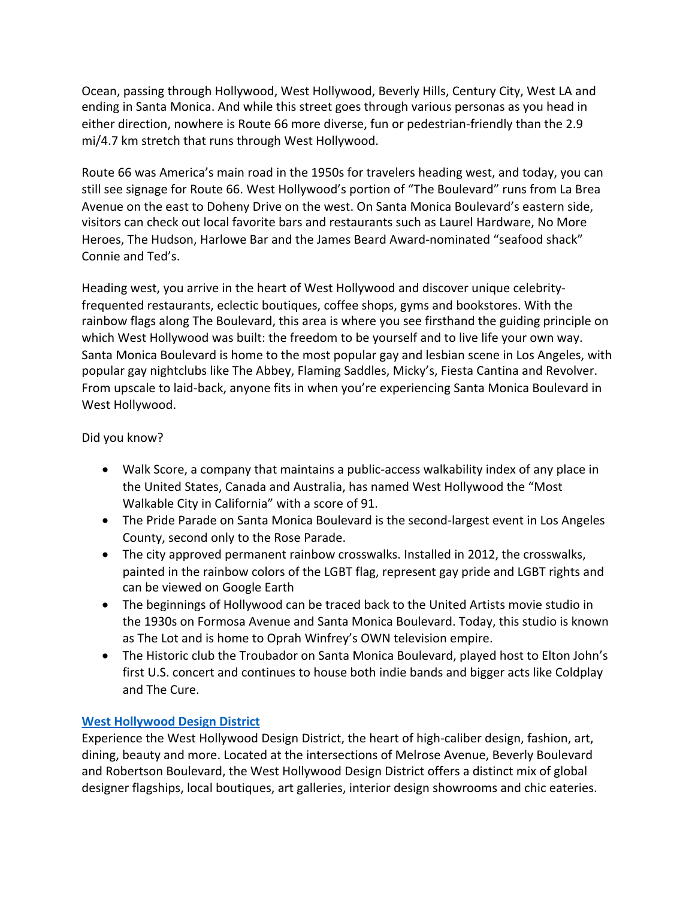Ocean, passing through Hollywood, West Hollywood, Beverly Hills, Century City, West LA and ending in Santa Monica. And while this street goes through various personas as you head in either direction, nowhere is Route 66 more diverse, fun or pedestrian-friendly than the 2.9 mi/4.7 km stretch that runs through West Hollywood.

Route 66 was America's main road in the 1950s for travelers heading west, and today, you can still see signage for Route 66. West Hollywood's portion of "The Boulevard" runs from La Brea Avenue on the east to Doheny Drive on the west. On Santa Monica Boulevard's eastern side, visitors can check out local favorite bars and restaurants such as Laurel Hardware, No More Heroes, The Hudson, Harlowe Bar and the James Beard Award-nominated "seafood shack" Connie and Ted's.

Heading west, you arrive in the heart of West Hollywood and discover unique celebrityfrequented restaurants, eclectic boutiques, coffee shops, gyms and bookstores. With the rainbow flags along The Boulevard, this area is where you see firsthand the guiding principle on which West Hollywood was built: the freedom to be yourself and to live life your own way. Santa Monica Boulevard is home to the most popular gay and lesbian scene in Los Angeles, with popular gay nightclubs like The Abbey, Flaming Saddles, Micky's, Fiesta Cantina and Revolver. From upscale to laid-back, anyone fits in when you're experiencing Santa Monica Boulevard in West Hollywood.

## Did you know?

- Walk Score, a company that maintains a public-access walkability index of any place in the United States, Canada and Australia, has named West Hollywood the "Most Walkable City in California" with a score of 91.
- The Pride Parade on Santa Monica Boulevard is the second-largest event in Los Angeles County, second only to the Rose Parade.
- The city approved permanent rainbow crosswalks. Installed in 2012, the crosswalks, painted in the rainbow colors of the LGBT flag, represent gay pride and LGBT rights and can be viewed on Google Earth
- The beginnings of Hollywood can be traced back to the United Artists movie studio in the 1930s on Formosa Avenue and Santa Monica Boulevard. Today, this studio is known as The Lot and is home to Oprah Winfrey's OWN television empire.
- The Historic club the Troubador on Santa Monica Boulevard, played host to Elton John's first U.S. concert and continues to house both indie bands and bigger acts like Coldplay and The Cure.

## **West Hollywood Design District**

Experience the West Hollywood Design District, the heart of high-caliber design, fashion, art, dining, beauty and more. Located at the intersections of Melrose Avenue, Beverly Boulevard and Robertson Boulevard, the West Hollywood Design District offers a distinct mix of global designer flagships, local boutiques, art galleries, interior design showrooms and chic eateries.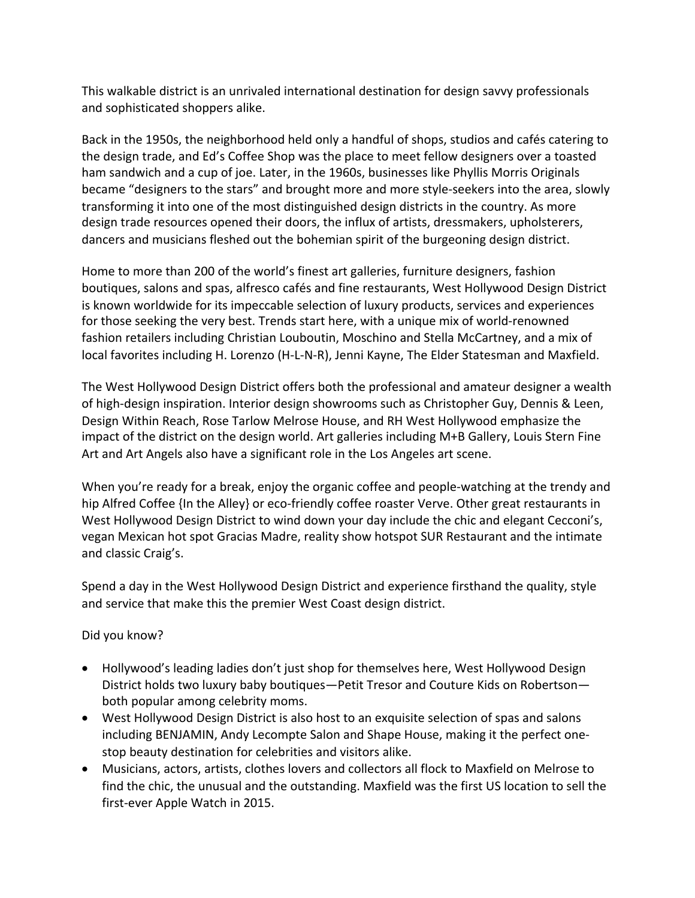This walkable district is an unrivaled international destination for design savvy professionals and sophisticated shoppers alike.

Back in the 1950s, the neighborhood held only a handful of shops, studios and cafés catering to the design trade, and Ed's Coffee Shop was the place to meet fellow designers over a toasted ham sandwich and a cup of joe. Later, in the 1960s, businesses like Phyllis Morris Originals became "designers to the stars" and brought more and more style-seekers into the area, slowly transforming it into one of the most distinguished design districts in the country. As more design trade resources opened their doors, the influx of artists, dressmakers, upholsterers, dancers and musicians fleshed out the bohemian spirit of the burgeoning design district.

Home to more than 200 of the world's finest art galleries, furniture designers, fashion boutiques, salons and spas, alfresco cafés and fine restaurants, West Hollywood Design District is known worldwide for its impeccable selection of luxury products, services and experiences for those seeking the very best. Trends start here, with a unique mix of world-renowned fashion retailers including Christian Louboutin, Moschino and Stella McCartney, and a mix of local favorites including H. Lorenzo (H-L-N-R), Jenni Kayne, The Elder Statesman and Maxfield.

The West Hollywood Design District offers both the professional and amateur designer a wealth of high-design inspiration. Interior design showrooms such as Christopher Guy, Dennis & Leen, Design Within Reach, Rose Tarlow Melrose House, and RH West Hollywood emphasize the impact of the district on the design world. Art galleries including M+B Gallery, Louis Stern Fine Art and Art Angels also have a significant role in the Los Angeles art scene.

When you're ready for a break, enjoy the organic coffee and people-watching at the trendy and hip Alfred Coffee {In the Alley} or eco-friendly coffee roaster Verve. Other great restaurants in West Hollywood Design District to wind down your day include the chic and elegant Cecconi's, vegan Mexican hot spot Gracias Madre, reality show hotspot SUR Restaurant and the intimate and classic Craig's.

Spend a day in the West Hollywood Design District and experience firsthand the quality, style and service that make this the premier West Coast design district.

## Did you know?

- Hollywood's leading ladies don't just shop for themselves here, West Hollywood Design District holds two luxury baby boutiques—Petit Tresor and Couture Kids on Robertson both popular among celebrity moms.
- West Hollywood Design District is also host to an exquisite selection of spas and salons including BENJAMIN, Andy Lecompte Salon and Shape House, making it the perfect onestop beauty destination for celebrities and visitors alike.
- Musicians, actors, artists, clothes lovers and collectors all flock to Maxfield on Melrose to find the chic, the unusual and the outstanding. Maxfield was the first US location to sell the first-ever Apple Watch in 2015.